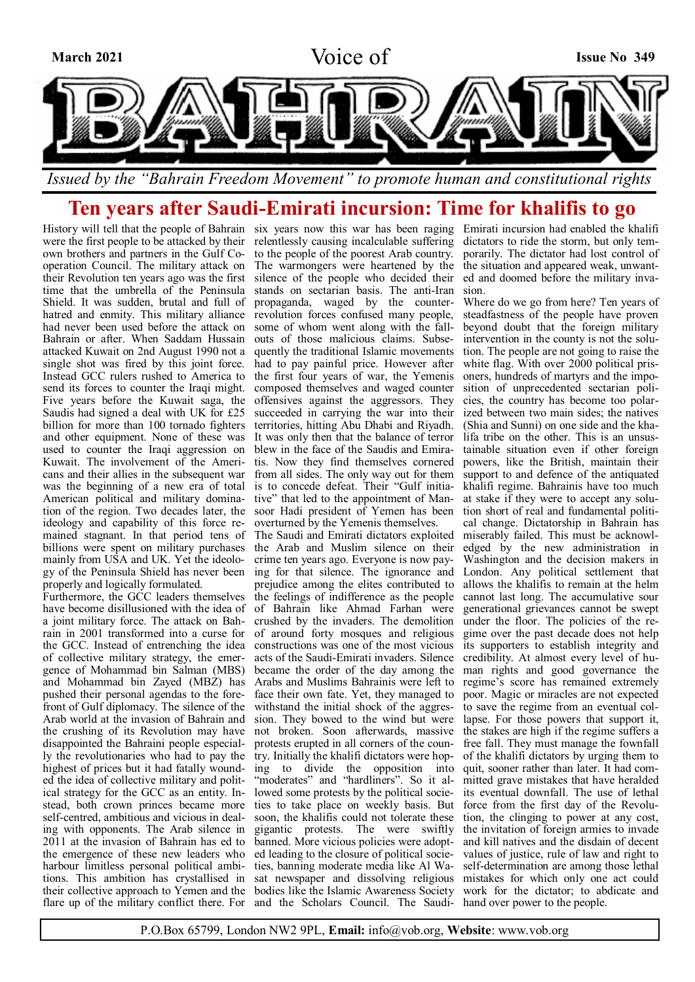

# **Ten years after Saudi-Emirati incursion: Time for khalifis to go**

History will tell that the people of Bahrain six years now this war has been raging Emirati incursion had enabled the khalifi were the first people to be attacked by their relentlessly causing incalculable suffering own brothers and partners in the Gulf Co-to the people of the poorest Arab country. operation Council. The military attack on The warmongers were heartened by the the situation and appeared weak, unwanttheir Revolution ten years ago was the first silence of the people who decided their time that the umbrella of the Peninsula stands on sectarian basis. The anti-Iran Shield. It was sudden, brutal and full of propaganda, waged by the counterhatred and enmity. This military alliance had never been used before the attack on Bahrain or after. When Saddam Hussain attacked Kuwait on 2nd August 1990 not a single shot was fired by this joint force. Instead GCC rulers rushed to America to send its forces to counter the Iraqi might. Five years before the Kuwait saga, the Saudis had signed a deal with UK for £25 billion for more than 100 tornado fighters and other equipment. None of these was used to counter the Iraqi aggression on Kuwait. The involvement of the Americans and their allies in the subsequent war was the beginning of a new era of total American political and military domination of the region. Two decades later, the ideology and capability of this force remained stagnant. In that period tens of billions were spent on military purchases mainly from USA and UK. Yet the ideology of the Peninsula Shield has never been properly and logically formulated.

Furthermore, the GCC leaders themselves have become disillusioned with the idea of a joint military force. The attack on Bahrain in 2001 transformed into a curse for the GCC. Instead of entrenching the idea of collective military strategy, the emergence of Mohammad bin Salman (MBS) and Mohammad bin Zayed (MBZ) has Arabs and Muslims Bahrainis were left to pushed their personal agendas to the forefront of Gulf diplomacy. The silence of the Arab world at the invasion of Bahrain and the crushing of its Revolution may have disappointed the Bahraini people especially the revolutionaries who had to pay the highest of prices but it had fatally wounded the idea of collective military and political strategy for the GCC as an entity. Instead, both crown princes became more self-centred, ambitious and vicious in dealing with opponents. The Arab silence in 2011 at the invasion of Bahrain has ed to the emergence of these new leaders who harbour limitless personal political ambitions. This ambition has crystallised in their collective approach to Yemen and the flare up of the military conflict there. For

revolution forces confused many people, some of whom went along with the fallouts of those malicious claims. Subsequently the traditional Islamic movements had to pay painful price. However after the first four years of war, the Yemenis composed themselves and waged counter offensives against the aggressors. They succeeded in carrying the war into their territories, hitting Abu Dhabi and Riyadh. It was only then that the balance of terror blew in the face of the Saudis and Emiratis. Now they find themselves cornered from all sides. The only way out for them is to concede defeat. Their "Gulf initiative" that led to the appointment of Mansoor Hadi president of Yemen has been overturned by the Yemenis themselves. The Saudi and Emirati dictators exploited

the Arab and Muslim silence on their crime ten years ago. Everyone is now paying for that silence. The ignorance and prejudice among the elites contributed to the feelings of indifference as the people of Bahrain like Ahmad Farhan were crushed by the invaders. The demolition of around forty mosques and religious constructions was one of the most vicious acts of the Saudi-Emirati invaders. Silence became the order of the day among the face their own fate. Yet, they managed to withstand the initial shock of the aggression. They bowed to the wind but were not broken. Soon afterwards, massive protests erupted in all corners of the country. Initially the khalifi dictators were hoping to divide the opposition into "moderates" and "hardliners". So it allowed some protests by the political societies to take place on weekly basis. But soon, the khalifis could not tolerate these gigantic protests. The were swiftly banned. More vicious policies were adopted leading to the closure of political societies, banning moderate media like Al Wasat newspaper and dissolving religious bodies like the Islamic Awareness Society and the Scholars Council. The Saudi-

dictators to ride the storm, but only temporarily. The dictator had lost control of ed and doomed before the military invasion.

Where do we go from here? Ten years of steadfastness of the people have proven beyond doubt that the foreign military intervention in the county is not the solution. The people are not going to raise the white flag. With over 2000 political prisoners, hundreds of martyrs and the imposition of unprecedented sectarian policies, the country has become too polarized between two main sides; the natives (Shia and Sunni) on one side and the khalifa tribe on the other. This is an unsustainable situation even if other foreign powers, like the British, maintain their support to and defence of the antiquated khalifi regime. Bahrainis have too much at stake if they were to accept any solution short of real and fundamental political change. Dictatorship in Bahrain has miserably failed. This must be acknowledged by the new administration in Washington and the decision makers in London. Any political settlement that allows the khalifis to remain at the helm cannot last long. The accumulative sour generational grievances cannot be swept under the floor. The policies of the regime over the past decade does not help its supporters to establish integrity and credibility. At almost every level of human rights and good governance the regime's score has remained extremely poor. Magic or miracles are not expected to save the regime from an eventual collapse. For those powers that support it, the stakes are high if the regime suffers a free fall. They must manage the fownfall of the khalifi dictators by urging them to quit, sooner rather than later. It had committed grave mistakes that have heralded its eventual downfall. The use of lethal force from the first day of the Revolution, the clinging to power at any cost, the invitation of foreign armies to invade and kill natives and the disdain of decent values of justice, rule of law and right to self-determination are among those lethal mistakes for which only one act could work for the dictator; to abdicate and hand over power to the people.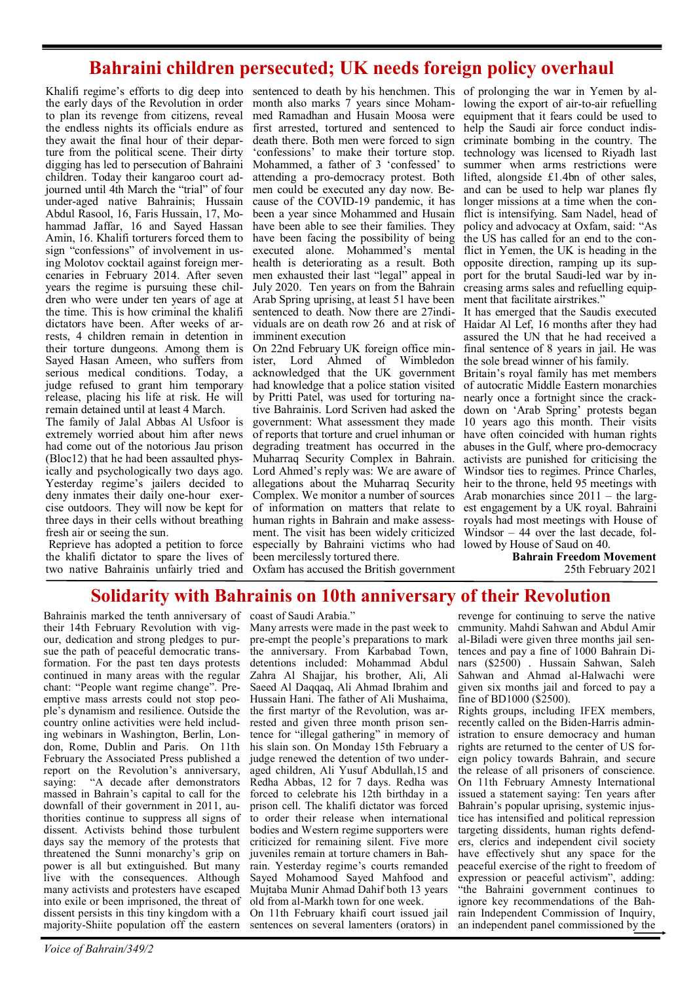## **Bahraini children persecuted; UK needs foreign policy overhaul**

the early days of the Revolution in order to plan its revenge from citizens, reveal the endless nights its officials endure as they await the final hour of their departure from the political scene. Their dirty digging has led to persecution of Bahraini children. Today their kangaroo court adjourned until 4th March the "trial" of four under-aged native Bahrainis; Hussain Abdul Rasool, 16, Faris Hussain, 17, Mohammad Jaffar, 16 and Sayed Hassan Amin, 16. Khalifi torturers forced them to sign "confessions" of involvement in using Molotov cocktail against foreign mercenaries in February 2014. After seven years the regime is pursuing these children who were under ten years of age at the time. This is how criminal the khalifi dictators have been. After weeks of arrests, 4 children remain in detention in their torture dungeons. Among them is Sayed Hasan Ameen, who suffers from serious medical conditions. Today, a judge refused to grant him temporary release, placing his life at risk. He will remain detained until at least 4 March.

The family of Jalal Abbas Al Usfoor is extremely worried about him after news had come out of the notorious Jau prison (Bloc12) that he had been assaulted physically and psychologically two days ago. Yesterday regime's jailers decided to deny inmates their daily one-hour exercise outdoors. They will now be kept for three days in their cells without breathing human rights in Bahrain and make assessfresh air or seeing the sun.

Reprieve has adopted a petition to force the khalifi dictator to spare the lives of two native Bahrainis unfairly tried and

Khalifi regime's efforts to dig deep into sentenced to death by his henchmen. This of prolonging the war in Yemen by almonth also marks 7 years since Mohammed Ramadhan and Husain Moosa were first arrested, tortured and sentenced to death there. Both men were forced to sign 'confessions' to make their torture stop. Mohammed, a father of 3 'confessed' to attending a pro-democracy protest. Both men could be executed any day now. Because of the COVID-19 pandemic, it has been a year since Mohammed and Husain have been able to see their families. They have been facing the possibility of being executed alone. Mohammed's mental health is deteriorating as a result. Both men exhausted their last "legal" appeal in July 2020. Ten years on from the Bahrain Arab Spring uprising, at least 51 have been sentenced to death. Now there are 27individuals are on death row 26 and at risk of imminent execution

> On 22nd February UK foreign office minister, Lord Ahmed of Wimbledon acknowledged that the UK government had knowledge that a police station visited by Pritti Patel, was used for torturing native Bahrainis. Lord Scriven had asked the government: What assessment they made of reports that torture and cruel inhuman or degrading treatment has occurred in the Muharraq Security Complex in Bahrain. Lord Ahmed's reply was: We are aware of allegations about the Muharraq Security Complex. We monitor a number of sources of information on matters that relate to ment. The visit has been widely criticized especially by Bahraini victims who had lowed by House of Saud on 40. been mercilessly tortured there.

Oxfam has accused the British government

lowing the export of air-to-air refuelling equipment that it fears could be used to help the Saudi air force conduct indiscriminate bombing in the country. The technology was licensed to Riyadh last summer when arms restrictions were lifted, alongside £1.4bn of other sales, and can be used to help war planes fly longer missions at a time when the conflict is intensifying. Sam Nadel, head of policy and advocacy at Oxfam, said: "As the US has called for an end to the conflict in Yemen, the UK is heading in the opposite direction, ramping up its support for the brutal Saudi-led war by increasing arms sales and refuelling equipment that facilitate airstrikes."

It has emerged that the Saudis executed Haidar Al Lef, 16 months after they had assured the UN that he had received a final sentence of 8 years in jail. He was the sole bread winner of his family.

Britain's royal family has met members of autocratic Middle Eastern monarchies nearly once a fortnight since the crackdown on 'Arab Spring' protests began 10 years ago this month. Their visits have often coincided with human rights abuses in the Gulf, where pro-democracy activists are punished for criticising the Windsor ties to regimes. Prince Charles, heir to the throne, held 95 meetings with Arab monarchies since 2011 – the largest engagement by a UK royal. Bahraini royals had most meetings with House of Windsor – 44 over the last decade, fol-

> **Bahrain Freedom Movement** 25th February 2021

#### **Solidarity with Bahrainis on 10th anniversary of their Revolution**

Bahrainis marked the tenth anniversary of their 14th February Revolution with vigour, dedication and strong pledges to pursue the path of peaceful democratic transformation. For the past ten days protests continued in many areas with the regular chant: "People want regime change". Preemptive mass arrests could not stop people's dynamism and resilience. Outside the country online activities were held including webinars in Washington, Berlin, London, Rome, Dublin and Paris. On 11th February the Associated Press published a report on the Revolution's anniversary, saying: "A decade after demonstrators massed in Bahrain's capital to call for the downfall of their government in 2011, authorities continue to suppress all signs of dissent. Activists behind those turbulent days say the memory of the protests that threatened the Sunni monarchy's grip on power is all but extinguished. But many live with the consequences. Although many activists and protesters have escaped into exile or been imprisoned, the threat of dissent persists in this tiny kingdom with a majority-Shiite population off the eastern

coast of Saudi Arabia."

Many arrests were made in the past week to pre-empt the people's preparations to mark the anniversary. From Karbabad Town, detentions included: Mohammad Abdul Zahra Al Shajjar, his brother, Ali, Ali Saeed Al Daqqaq, Ali Ahmad Ibrahim and Hussain Hani. The father of Ali Mushaima, the first martyr of the Revolution, was arrested and given three month prison sentence for "illegal gathering" in memory of his slain son. On Monday 15th February a judge renewed the detention of two underaged children, Ali Yusuf Abdullah,15 and Redha Abbas, 12 for 7 days. Redha was forced to celebrate his 12th birthday in a prison cell. The khalifi dictator was forced to order their release when international bodies and Western regime supporters were criticized for remaining silent. Five more juveniles remain at torture chamers in Bahrain. Yesterday regime's courts remanded Sayed Mohamood Sayed Mahfood and Mujtaba Munir Ahmad Dahif both 13 years old from al-Markh town for one week.

On 11th February khaifi court issued jail sentences on several lamenters (orators) in

revenge for continuing to serve the native cmmunity. Mahdi Sahwan and Abdul Amir al-Biladi were given three months jail sentences and pay a fine of 1000 Bahrain Dinars (\$2500) . Hussain Sahwan, Saleh Sahwan and Ahmad al-Halwachi were given six months jail and forced to pay a fine of BD1000 (\$2500).

Rights groups, including IFEX members, recently called on the Biden-Harris administration to ensure democracy and human rights are returned to the center of US foreign policy towards Bahrain, and secure the release of all prisoners of conscience. On 11th February Amnesty International issued a statement saying: Ten years after Bahrain's popular uprising, systemic injustice has intensified and political repression targeting dissidents, human rights defenders, clerics and independent civil society have effectively shut any space for the peaceful exercise of the right to freedom of expression or peaceful activism", adding: "the Bahraini government continues to ignore key recommendations of the Bahrain Independent Commission of Inquiry, an independent panel commissioned by the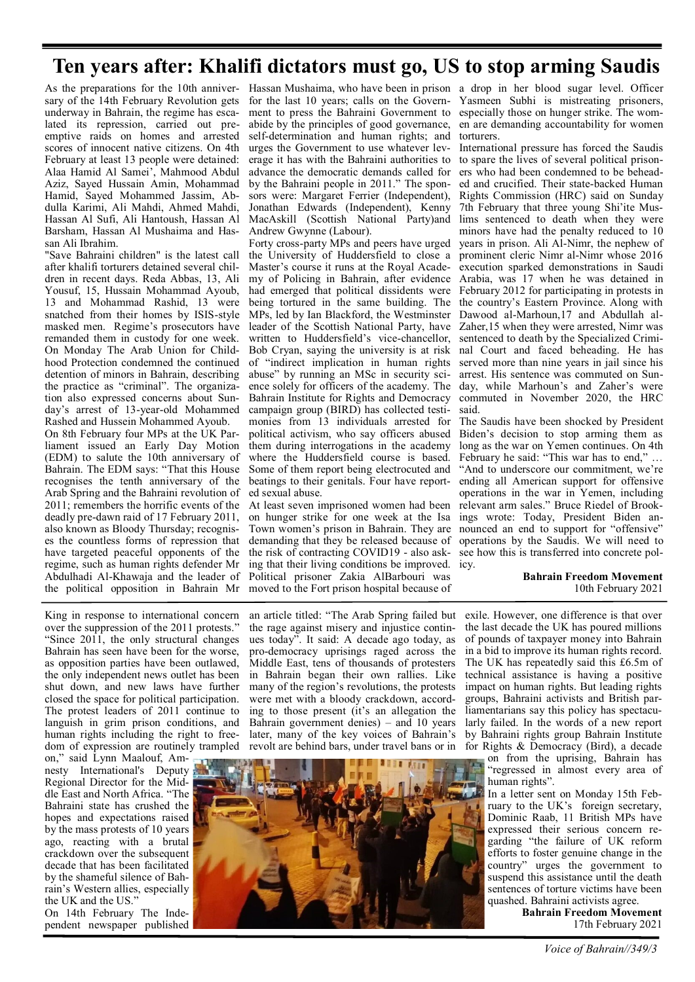# **Ten years after: Khalifi dictators must go, US to stop arming Saudis**

sary of the 14th February Revolution gets underway in Bahrain, the regime has escalated its repression, carried out preemptive raids on homes and arrested scores of innocent native citizens. On 4th February at least 13 people were detained: Alaa Hamid Al Samei', Mahmood Abdul Aziz, Sayed Hussain Amin, Mohammad Hamid, Sayed Mohammed Jassim, Abdulla Karimi, Ali Mahdi, Ahmed Mahdi, Hassan Al Sufi, Ali Hantoush, Hassan Al Barsham, Hassan Al Mushaima and Hassan Ali Ibrahim.

"Save Bahraini children" is the latest call after khalifi torturers detained several children in recent days. Reda Abbas, 13, Ali Yousuf, 15, Hussain Mohammad Ayoub, 13 and Mohammad Rashid, 13 were snatched from their homes by ISIS-style masked men. Regime's prosecutors have remanded them in custody for one week. On Monday The Arab Union for Childhood Protection condemned the continued detention of minors in Bahrain, describing the practice as "criminal". The organization also expressed concerns about Sunday's arrest of 13-year-old Mohammed Rashed and Hussein Mohammed Ayoub.

On 8th February four MPs at the UK Parliament issued an Early Day Motion (EDM) to salute the 10th anniversary of Bahrain. The EDM says: "That this House recognises the tenth anniversary of the Arab Spring and the Bahraini revolution of 2011; remembers the horrific events of the deadly pre-dawn raid of 17 February 2011, also known as Bloody Thursday; recognises the countless forms of repression that have targeted peaceful opponents of the regime, such as human rights defender Mr Abdulhadi Al-Khawaja and the leader of the political opposition in Bahrain Mr

As the preparations for the 10th anniver- Hassan Mushaima, who have been in prison a drop in her blood sugar level. Officer for the last 10 years; calls on the Govern- Yasmeen Subhi is mistreating prisoners, ment to press the Bahraini Government to especially those on hunger strike. The womself-determination and human rights; and torturers. erage it has with the Bahraini authorities to to spare the lives of several political prisonabide by the principles of good governance, urges the Government to use whatever levadvance the democratic demands called for by the Bahraini people in 2011." The sponsors were: Margaret Ferrier (Independent), Jonathan Edwards (Independent), Kenny MacAskill (Scottish National Party)and Andrew Gwynne (Labour).

being tortured in the same building. The the country's Eastern Province. Along with Forty cross-party MPs and peers have urged the University of Huddersfield to close a Master's course it runs at the Royal Academy of Policing in Bahrain, after evidence had emerged that political dissidents were MPs, led by Ian Blackford, the Westminster leader of the Scottish National Party, have written to Huddersfield's vice-chancellor, Bob Cryan, saying the university is at risk of "indirect implication in human rights abuse" by running an MSc in security science solely for officers of the academy. The Bahrain Institute for Rights and Democracy campaign group (BIRD) has collected testimonies from 13 individuals arrested for political activism, who say officers abused them during interrogations in the academy where the Huddersfield course is based. Some of them report being electrocuted and beatings to their genitals. Four have reported sexual abuse.

ing that their living conditions be improved. icy. At least seven imprisoned women had been on hunger strike for one week at the Isa demanding that they be released because of the risk of contracting COVID19 - also ask-Political prisoner Zakia AlBarbouri was moved to the Fort prison hospital because of

en are demanding accountability for women

International pressure has forced the Saudis ers who had been condemned to be beheaded and crucified. Their state-backed Human Rights Commission (HRC) said on Sunday 7th February that three young Shi'ite Muslims sentenced to death when they were minors have had the penalty reduced to 10 years in prison. Ali Al-Nimr, the nephew of prominent cleric Nimr al-Nimr whose 2016 execution sparked demonstrations in Saudi Arabia, was 17 when he was detained in February 2012 for participating in protests in Dawood al-Marhoun, 17 and Abdullah al-Zaher,15 when they were arrested, Nimr was sentenced to death by the Specialized Criminal Court and faced beheading. He has served more than nine years in jail since his arrest. His sentence was commuted on Sunday, while Marhoun's and Zaher's were commuted in November 2020, the HRC said.

The Saudis have been shocked by President Biden's decision to stop arming them as long as the war on Yemen continues. On 4th February he said: "This war has to end," "And to underscore our commitment, we're ending all American support for offensive operations in the war in Yemen, including relevant arm sales." Bruce Riedel of Brookings wrote: Today, President Biden an-Town women's prison in Bahrain. They are nounced an end to support for "offensive" operations by the Saudis. We will need to see how this is transferred into concrete pol-

> **Bahrain Freedom Movement** 10th February 2021

King in response to international concern over the suppression of the 2011 protests." "Since 2011, the only structural changes Bahrain has seen have been for the worse, as opposition parties have been outlawed, the only independent news outlet has been shut down, and new laws have further closed the space for political participation. The protest leaders of 2011 continue to languish in grim prison conditions, and human rights including the right to freedom of expression are routinely trampled

on," said Lynn Maalouf, Amnesty International's Deputy Regional Director for the Middle East and North Africa. "The Bahraini state has crushed the hopes and expectations raised by the mass protests of 10 years ago, reacting with a brutal crackdown over the subsequent decade that has been facilitated by the shameful silence of Bahrain's Western allies, especially the UK and the US."

On 14th February The Independent newspaper published an article titled: "The Arab Spring failed but the rage against misery and injustice continues today". It said: A decade ago today, as pro-democracy uprisings raged across the Middle East, tens of thousands of protesters in Bahrain began their own rallies. Like many of the region's revolutions, the protests were met with a bloody crackdown, according to those present (it's an allegation the Bahrain government denies) – and 10 years later, many of the key voices of Bahrain's revolt are behind bars, under travel bans or in



exile. However, one difference is that over the last decade the UK has poured millions of pounds of taxpayer money into Bahrain in a bid to improve its human rights record. The UK has repeatedly said this £6.5m of technical assistance is having a positive impact on human rights. But leading rights groups, Bahraini activists and British parliamentarians say this policy has spectacularly failed. In the words of a new report by Bahraini rights group Bahrain Institute for Rights & Democracy (Bird), a decade

on from the uprising, Bahrain has "regressed in almost every area of human rights".

In a letter sent on Monday 15th February to the UK's foreign secretary, Dominic Raab, 11 British MPs have expressed their serious concern regarding "the failure of UK reform efforts to foster genuine change in the country" urges the government to suspend this assistance until the death sentences of torture victims have been quashed. Bahraini activists agree.

**Bahrain Freedom Movement** 17th February 2021